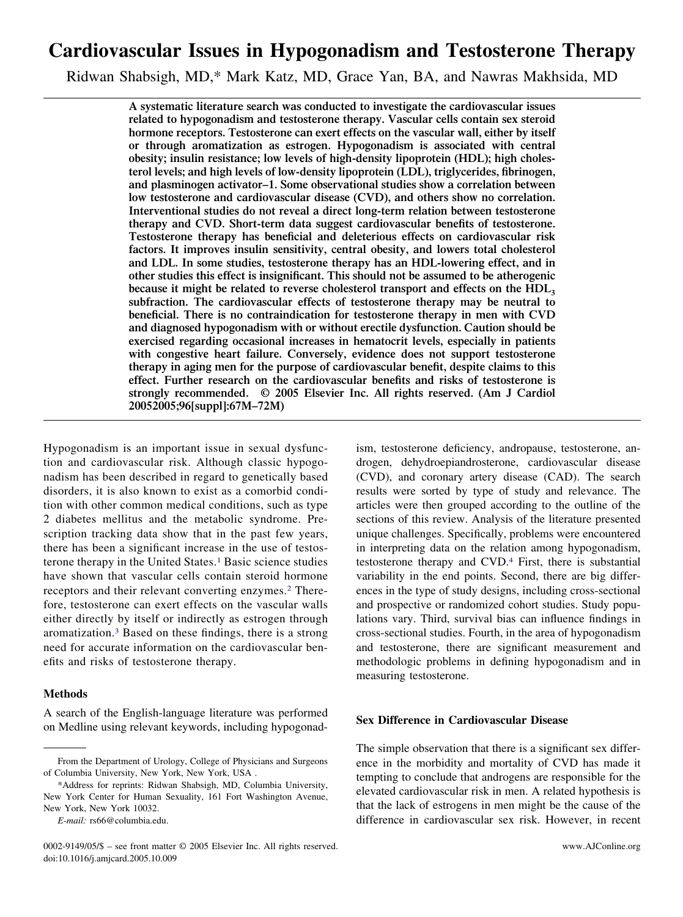# **Cardiovascular Issues in Hypogonadism and Testosterone Therapy**

Ridwan Shabsigh, MD,\* Mark Katz, MD, Grace Yan, BA, and Nawras Makhsida, MD

**A systematic literature search was conducted to investigate the cardiovascular issues related to hypogonadism and testosterone therapy. Vascular cells contain sex steroid hormone receptors. Testosterone can exert effects on the vascular wall, either by itself or through aromatization as estrogen. Hypogonadism is associated with central obesity; insulin resistance; low levels of high-density lipoprotein (HDL); high cholesterol levels; and high levels of low-density lipoprotein (LDL), triglycerides, fibrinogen, and plasminogen activator–1. Some observational studies show a correlation between low testosterone and cardiovascular disease (CVD), and others show no correlation. Interventional studies do not reveal a direct long-term relation between testosterone therapy and CVD. Short-term data suggest cardiovascular benefits of testosterone. Testosterone therapy has beneficial and deleterious effects on cardiovascular risk factors. It improves insulin sensitivity, central obesity, and lowers total cholesterol and LDL. In some studies, testosterone therapy has an HDL-lowering effect, and in other studies this effect is insignificant. This should not be assumed to be atherogenic because it might be related to reverse cholesterol transport and effects on the HDL3 subfraction. The cardiovascular effects of testosterone therapy may be neutral to beneficial. There is no contraindication for testosterone therapy in men with CVD and diagnosed hypogonadism with or without erectile dysfunction. Caution should be exercised regarding occasional increases in hematocrit levels, especially in patients with congestive heart failure. Conversely, evidence does not support testosterone therapy in aging men for the purpose of cardiovascular benefit, despite claims to this effect. Further research on the cardiovascular benefits and risks of testosterone is strongly recommended. © 2005 Elsevier Inc. All rights reserved. (Am J Cardiol 20052005;96[suppl]:67M–72M)**

Hypogonadism is an important issue in sexual dysfunction and cardiovascular risk. Although classic hypogonadism has been described in regard to genetically based disorders, it is also known to exist as a comorbid condition with other common medical conditions, such as type 2 diabetes mellitus and the metabolic syndrome. Prescription tracking data show that in the past few years, there has been a significant increase in the use of testosterone therapy in the United States.<sup>1</sup> Basic science studies have shown that vascular cells contain steroid hormone receptors and their relevant converting enzymes[.2](#page-4-0) Therefore, testosterone can exert effects on the vascular walls either directly by itself or indirectly as estrogen through aromatization[.3](#page-4-0) Based on these findings, there is a strong need for accurate information on the cardiovascular benefits and risks of testosterone therapy.

### **Methods**

A search of the English-language literature was performed on Medline using relevant keywords, including hypogonad-

*E-mail:* rs66@columbia.edu.

ism, testosterone deficiency, andropause, testosterone, androgen, dehydroepiandrosterone, cardiovascular disease (CVD), and coronary artery disease (CAD). The search results were sorted by type of study and relevance. The articles were then grouped according to the outline of the sections of this review. Analysis of the literature presented unique challenges. Specifically, problems were encountered in interpreting data on the relation among hypogonadism, testosterone therapy and CVD[.4](#page-4-0) First, there is substantial variability in the end points. Second, there are big differences in the type of study designs, including cross-sectional and prospective or randomized cohort studies. Study populations vary. Third, survival bias can influence findings in cross-sectional studies. Fourth, in the area of hypogonadism and testosterone, there are significant measurement and methodologic problems in defining hypogonadism and in measuring testosterone.

#### **Sex Difference in Cardiovascular Disease**

The simple observation that there is a significant sex difference in the morbidity and mortality of CVD has made it tempting to conclude that androgens are responsible for the elevated cardiovascular risk in men. A related hypothesis is that the lack of estrogens in men might be the cause of the difference in cardiovascular sex risk. However, in recent

From the Department of Urology, College of Physicians and Surgeons of Columbia University, New York, New York, USA .

<sup>\*</sup>Address for reprints: Ridwan Shabsigh, MD, Columbia University, New York Center for Human Sexuality, 161 Fort Washington Avenue, New York, New York 10032.

<sup>0002-9149/05/\$ –</sup> see front matter © 2005 Elsevier Inc. All rights reserved. www.AJConline.org doi:10.1016/j.amjcard.2005.10.009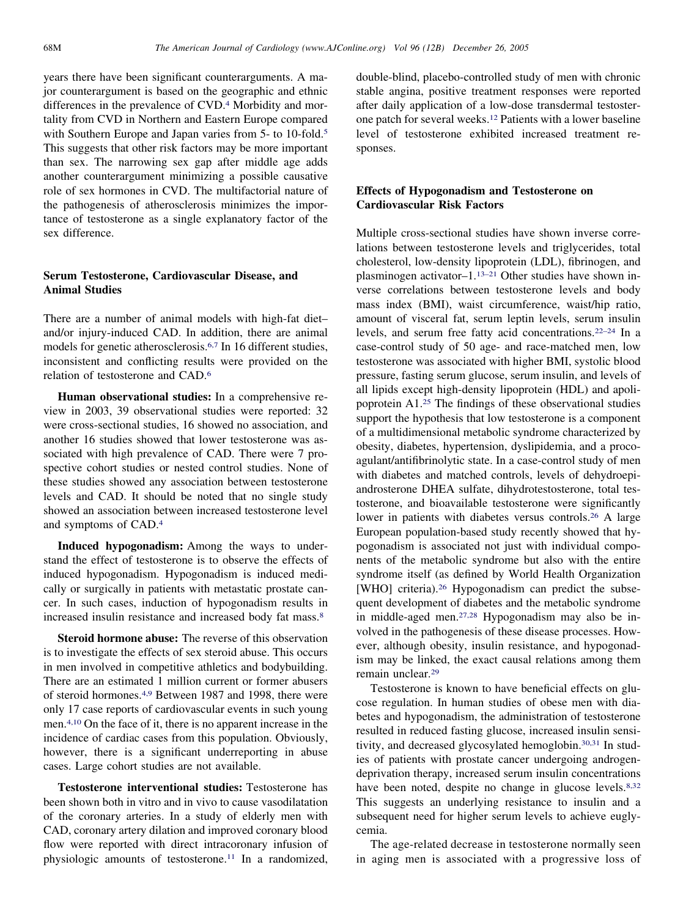years there have been significant counterarguments. A major counterargument is based on the geographic and ethnic differences in the prevalence of CVD[.4](#page-4-0) Morbidity and mortality from CVD in Northern and Eastern Europe compared with Southern Europe and Japan varies from 5- to 10-fold.<sup>5</sup> This suggests that other risk factors may be more important than sex. The narrowing sex gap after middle age adds another counterargument minimizing a possible causative role of sex hormones in CVD. The multifactorial nature of the pathogenesis of atherosclerosis minimizes the importance of testosterone as a single explanatory factor of the sex difference.

## **Serum Testosterone, Cardiovascular Disease, and Animal Studies**

There are a number of animal models with high-fat diet– and/or injury-induced CAD. In addition, there are animal models for genetic atherosclerosis[.6,7](#page-4-0) In 16 different studies, inconsistent and conflicting results were provided on the relation of testosterone and CAD[.6](#page-4-0)

**Human observational studies:** In a comprehensive review in 2003, 39 observational studies were reported: 32 were cross-sectional studies, 16 showed no association, and another 16 studies showed that lower testosterone was associated with high prevalence of CAD. There were 7 prospective cohort studies or nested control studies. None of these studies showed any association between testosterone levels and CAD. It should be noted that no single study showed an association between increased testosterone level and symptoms of CAD[.4](#page-4-0)

**Induced hypogonadism:** Among the ways to understand the effect of testosterone is to observe the effects of induced hypogonadism. Hypogonadism is induced medically or surgically in patients with metastatic prostate cancer. In such cases, induction of hypogonadism results in increased insulin resistance and increased body fat mass[.8](#page-4-0)

**Steroid hormone abuse:** The reverse of this observation is to investigate the effects of sex steroid abuse. This occurs in men involved in competitive athletics and bodybuilding. There are an estimated 1 million current or former abusers of steroid hormones[.4,9](#page-4-0) Between 1987 and 1998, there were only 17 case reports of cardiovascular events in such young men[.4,10](#page-4-0) On the face of it, there is no apparent increase in the incidence of cardiac cases from this population. Obviously, however, there is a significant underreporting in abuse cases. Large cohort studies are not available.

**Testosterone interventional studies:** Testosterone has been shown both in vitro and in vivo to cause vasodilatation of the coronary arteries. In a study of elderly men with CAD, coronary artery dilation and improved coronary blood flow were reported with direct intracoronary infusion of physiologic amounts of testosterone[.11](#page-4-0) In a randomized,

double-blind, placebo-controlled study of men with chronic stable angina, positive treatment responses were reported after daily application of a low-dose transdermal testosterone patch for several weeks[.12](#page-4-0) Patients with a lower baseline level of testosterone exhibited increased treatment responses.

### **Effects of Hypogonadism and Testosterone on Cardiovascular Risk Factors**

Multiple cross-sectional studies have shown inverse correlations between testosterone levels and triglycerides, total cholesterol, low-density lipoprotein (LDL), fibrinogen, and plasminogen activator–1[.13–21](#page-4-0) Other studies have shown inverse correlations between testosterone levels and body mass index (BMI), waist circumference, waist/hip ratio, amount of visceral fat, serum leptin levels, serum insulin levels, and serum free fatty acid concentrations[.22–24](#page-5-0) In a case-control study of 50 age- and race-matched men, low testosterone was associated with higher BMI, systolic blood pressure, fasting serum glucose, serum insulin, and levels of all lipids except high-density lipoprotein (HDL) and apolipoprotein A1[.25](#page-5-0) The findings of these observational studies support the hypothesis that low testosterone is a component of a multidimensional metabolic syndrome characterized by obesity, diabetes, hypertension, dyslipidemia, and a procoagulant/antifibrinolytic state. In a case-control study of men with diabetes and matched controls, levels of dehydroepiandrosterone DHEA sulfate, dihydrotestosterone, total testosterone, and bioavailable testosterone were significantly lower in patients with diabetes versus controls[.26](#page-5-0) A large European population-based study recently showed that hypogonadism is associated not just with individual components of the metabolic syndrome but also with the entire syndrome itself (as defined by World Health Organization [WHO] criteria)[.26](#page-5-0) Hypogonadism can predict the subsequent development of diabetes and the metabolic syndrome in middle-aged men[.27,28](#page-5-0) Hypogonadism may also be involved in the pathogenesis of these disease processes. However, although obesity, insulin resistance, and hypogonadism may be linked, the exact causal relations among them remain unclear[.29](#page-5-0)

Testosterone is known to have beneficial effects on glucose regulation. In human studies of obese men with diabetes and hypogonadism, the administration of testosterone resulted in reduced fasting glucose, increased insulin sensitivity, and decreased glycosylated hemoglobin[.30,31](#page-5-0) In studies of patients with prostate cancer undergoing androgendeprivation therapy, increased serum insulin concentrations have been noted, despite no change in glucose levels.<sup>8,32</sup> This suggests an underlying resistance to insulin and a subsequent need for higher serum levels to achieve euglycemia.

The age-related decrease in testosterone normally seen in aging men is associated with a progressive loss of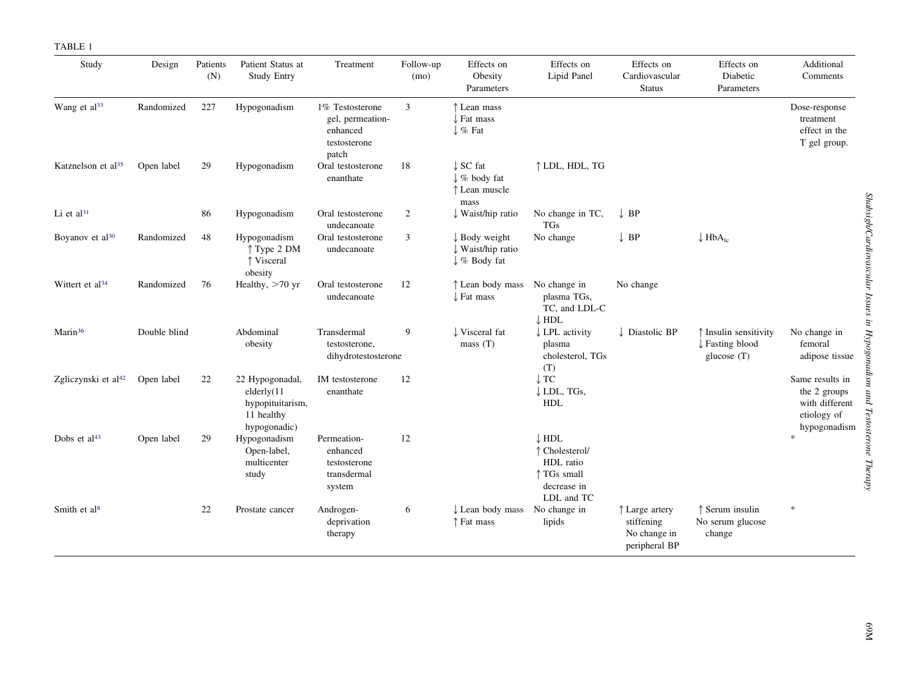| Study                           | Design       | Patients<br>(N) | Patient Status at<br><b>Study Entry</b>                                         | Treatment                                                                | Follow-up<br>(mo) | Effects on<br>Obesity<br>Parameters                                                 | Effects on<br>Lipid Panel                                                                   | Effects on<br>Cardiovascular<br><b>Status</b>                 | Effects on<br>Diabetic<br>Parameters                    | Additional<br>Comments                                                           |
|---------------------------------|--------------|-----------------|---------------------------------------------------------------------------------|--------------------------------------------------------------------------|-------------------|-------------------------------------------------------------------------------------|---------------------------------------------------------------------------------------------|---------------------------------------------------------------|---------------------------------------------------------|----------------------------------------------------------------------------------|
| Wang et al <sup>33</sup>        | Randomized   | 227             | Hypogonadism                                                                    | 1% Testosterone<br>gel, permeation-<br>enhanced<br>testosterone<br>patch | $\overline{3}$    | ↑ Lean mass<br>↓ Fat mass<br>$\downarrow$ % Fat                                     |                                                                                             |                                                               |                                                         | Dose-response<br>treatment<br>effect in the<br>T gel group.                      |
| Katznelson et al <sup>35</sup>  | Open label   | 29              | Hypogonadism                                                                    | Oral testosterone<br>enanthate                                           | 18                | $\downarrow$ SC fat<br>$\downarrow$ % body fat<br>↑ Lean muscle<br>mass             | ↑ LDL, HDL, TG                                                                              |                                                               |                                                         |                                                                                  |
| Li et $al^{31}$                 |              | 86              | Hypogonadism                                                                    | Oral testosterone<br>undecanoate                                         | $\overline{2}$    | $\downarrow$ Waist/hip ratio                                                        | No change in TC,<br><b>TGs</b>                                                              | $\downarrow$ BP                                               |                                                         |                                                                                  |
| Boyanov et al <sup>30</sup>     | Randomized   | 48              | Hypogonadism<br>Type 2 DM<br>↑ Visceral<br>obesity                              | Oral testosterone<br>undecanoate                                         | $\mathfrak{Z}$    | $\downarrow$ Body weight<br>$\downarrow$ Waist/hip ratio<br>$\downarrow$ % Body fat | No change                                                                                   | $\downarrow$ BP                                               | $\downarrow$ HbA <sub>lc</sub>                          |                                                                                  |
| Wittert et al <sup>34</sup>     | Randomized   | 76              | Healthy, $>70$ yr                                                               | Oral testosterone<br>undecanoate                                         | 12                | ↑ Lean body mass<br>$\downarrow$ Fat mass                                           | No change in<br>plasma TGs,<br>TC, and LDL-C<br>$\downarrow$ HDL                            | No change                                                     |                                                         |                                                                                  |
| Marin <sup>36</sup>             | Double blind |                 | Abdominal<br>obesity                                                            | Transdermal<br>testosterone,<br>dihydrotestosterone                      | 9                 | Visceral fat<br>mass(T)                                                             | ↓ LPL activity<br>plasma<br>cholesterol, TGs<br>(T)                                         | $\downarrow$ Diastolic BP                                     | ↑ Insulin sensitivity<br>Fasting blood<br>glucose $(T)$ | No change in<br>femoral<br>adipose tissue                                        |
| Zgliczynski et al <sup>42</sup> | Open label   | 22              | 22 Hypogonadal,<br>elderly(11<br>hypopituitarism,<br>11 healthy<br>hypogonadic) | IM testosterone<br>enanthate                                             | 12                |                                                                                     | $\downarrow$ TC<br>$\downarrow$ LDL, TGs,<br><b>HDL</b>                                     |                                                               |                                                         | Same results in<br>the 2 groups<br>with different<br>etiology of<br>hypogonadism |
| Dobs et al <sup>43</sup>        | Open label   | 29              | Hypogonadism<br>Open-label,<br>multicenter<br>study                             | Permeation-<br>enhanced<br>testosterone<br>transdermal<br>system         | 12                |                                                                                     | $\downarrow$ HDL<br>↑ Cholesterol/<br>HDL ratio<br>↑ TGs small<br>decrease in<br>LDL and TC |                                                               |                                                         | $\mathbf{A}$                                                                     |
| Smith et al <sup>8</sup>        |              | 22              | Prostate cancer                                                                 | Androgen-<br>deprivation<br>therapy                                      | 6                 | $\downarrow$ Lean body mass<br>↑ Fat mass                                           | No change in<br>lipids                                                                      | ↑ Large artery<br>stiffening<br>No change in<br>peripheral BP | ↑ Serum insulin<br>No serum glucose<br>change           | $\ast$                                                                           |

<span id="page-2-0"></span>TABLE 1

**N69**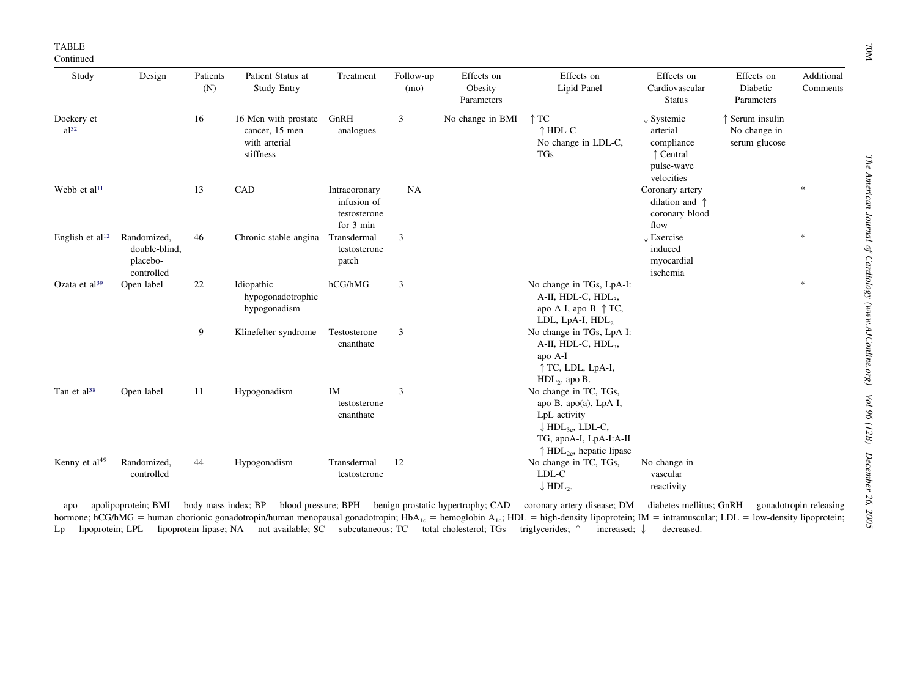TABLE

#### Continued

| Study                          | Design                                                 | Patients<br>(N) | Patient Status at<br><b>Study Entry</b>                              | Treatment                                                 | Follow-up<br>(mo) | Effects on<br>Obesity<br>Parameters | Effects on<br>Lipid Panel                                                                                                                                                            | Effects on<br>Cardiovascular<br><b>Status</b>                                            | Effects on<br>Diabetic<br>Parameters             | Additional<br>Comments |
|--------------------------------|--------------------------------------------------------|-----------------|----------------------------------------------------------------------|-----------------------------------------------------------|-------------------|-------------------------------------|--------------------------------------------------------------------------------------------------------------------------------------------------------------------------------------|------------------------------------------------------------------------------------------|--------------------------------------------------|------------------------|
| Dockery et<br>al <sup>32</sup> |                                                        | 16              | 16 Men with prostate<br>cancer, 15 men<br>with arterial<br>stiffness | GnRH<br>analogues                                         | $\mathfrak{Z}$    | No change in BMI                    | $\uparrow$ TC<br>↑HDL-C<br>No change in LDL-C,<br>TGs                                                                                                                                | $\downarrow$ Systemic<br>arterial<br>compliance<br>↑ Central<br>pulse-wave<br>velocities | ↑ Serum insulin<br>No change in<br>serum glucose |                        |
| Webb et al <sup>11</sup>       |                                                        | 13              | CAD                                                                  | Intracoronary<br>infusion of<br>testosterone<br>for 3 min | <b>NA</b>         |                                     |                                                                                                                                                                                      | Coronary artery<br>dilation and $\uparrow$<br>coronary blood<br>flow                     |                                                  | $\frac{1}{2}$          |
| English et al <sup>12</sup>    | Randomized,<br>double-blind,<br>placebo-<br>controlled | 46              | Chronic stable angina                                                | Transdermal<br>testosterone<br>patch                      | 3                 |                                     |                                                                                                                                                                                      | L Exercise-<br>induced<br>myocardial<br>ischemia                                         |                                                  | $\ast$                 |
| Ozata et al $39$               | Open label                                             | 22              | Idiopathic<br>hypogonadotrophic<br>hypogonadism                      | hCG/hMG                                                   | 3                 |                                     | No change in TGs, LpA-I:<br>A-II, HDL-C, HDL <sub>3</sub> ,<br>apo A-I, apo B $\uparrow$ TC,<br>LDL, LpA-I, HDL <sub>2</sub>                                                         |                                                                                          |                                                  | $\frac{1}{2}$          |
|                                |                                                        | 9               | Klinefelter syndrome                                                 | Testosterone<br>enanthate                                 | 3                 |                                     | No change in TGs, LpA-I:<br>A-II, HDL-C, HDL <sub>3</sub> ,<br>apo A-I<br>↑ TC, LDL, LpA-I,<br>$HDL2$ , apo B.                                                                       |                                                                                          |                                                  |                        |
| Tan et al <sup>38</sup>        | Open label                                             | 11              | Hypogonadism                                                         | IM<br>testosterone<br>enanthate                           | 3                 |                                     | No change in TC, TGs,<br>apo B, apo(a), LpA-I,<br>LpL activity<br>$\downarrow$ HDL <sub>3c</sub> , LDL-C,<br>TG, apoA-I, LpA-I:A-II<br>$\uparrow$ HDL <sub>2c</sub> , hepatic lipase |                                                                                          |                                                  |                        |
| Kenny et $al49$                | Randomized,<br>controlled                              | 44              | Hypogonadism                                                         | Transdermal<br>testosterone                               | 12                |                                     | No change in TC, TGs,<br>$LDL-C$<br>$\downarrow$ HDL <sub>2</sub> .                                                                                                                  | No change in<br>vascular<br>reactivity                                                   |                                                  |                        |

apo = apolipoprotein; BMI = body mass index; BP = blood pressure; BPH = benign prostatic hypertrophy; CAD = coronary artery disease; DM = diabetes mellitus; GnRH = gonadotropin-releasing hormone; hCG/hMG = human chorionic gonadotropin/human menopausal gonadotropin; HbA<sub>1c</sub> = hemoglobin A<sub>1c</sub>; HDL = high-density lipoprotein; IM = intramuscular; LDL = low-density lipoprotein; Lp = lipoprotein; LPL = lipoprotein lipase; NA = not available; SC = subcutaneous; TC = total cholesterol; TGs = triglycerides;  $\uparrow$  = increased;  $\downarrow$  = decreased.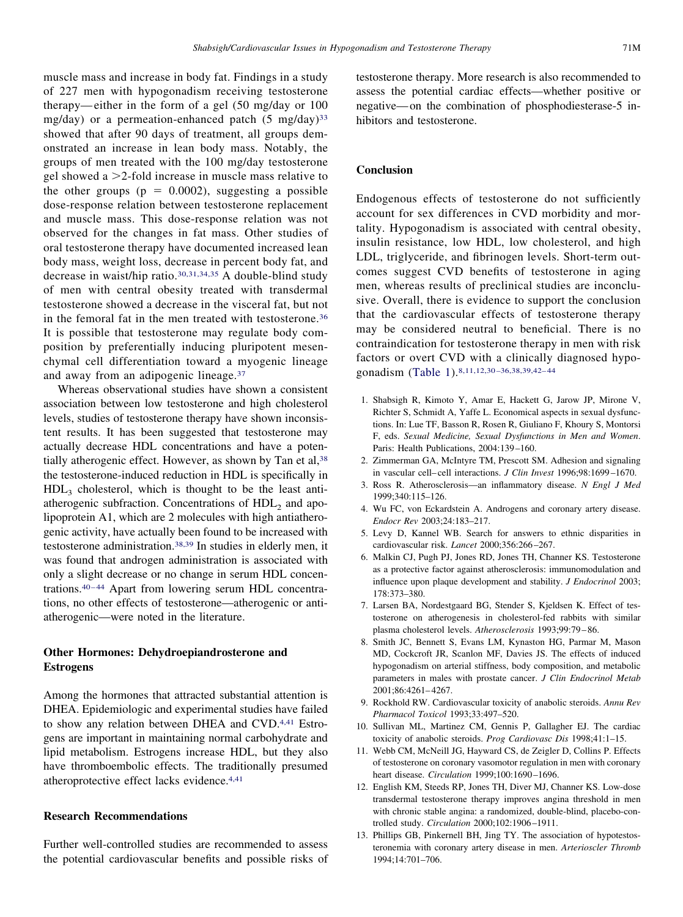<span id="page-4-0"></span>muscle mass and increase in body fat. Findings in a study of 227 men with hypogonadism receiving testosterone therapy— either in the form of a gel (50 mg/day or 100 mg/day) or a permeation-enhanced patch  $(5 \text{ mg/day})^{33}$ showed that after 90 days of treatment, all groups demonstrated an increase in lean body mass. Notably, the groups of men treated with the 100 mg/day testosterone gel showed a  $>2$ -fold increase in muscle mass relative to the other groups  $(p = 0.0002)$ , suggesting a possible dose-response relation between testosterone replacement and muscle mass. This dose-response relation was not observed for the changes in fat mass. Other studies of oral testosterone therapy have documented increased lean body mass, weight loss, decrease in percent body fat, and decrease in waist/hip ratio.<sup>30,31,34,35</sup> A double-blind study of men with central obesity treated with transdermal testosterone showed a decrease in the visceral fat, but not in the femoral fat in the men treated with testosterone[.36](#page-5-0) It is possible that testosterone may regulate body composition by preferentially inducing pluripotent mesenchymal cell differentiation toward a myogenic lineage and away from an adipogenic lineage[.37](#page-5-0)

Whereas observational studies have shown a consistent association between low testosterone and high cholesterol levels, studies of testosterone therapy have shown inconsistent results. It has been suggested that testosterone may actually decrease HDL concentrations and have a potentially atherogenic effect. However, as shown by Tan et al[,38](#page-5-0) the testosterone-induced reduction in HDL is specifically in  $HDL<sub>3</sub>$  cholesterol, which is thought to be the least antiatherogenic subfraction. Concentrations of  $HDL<sub>2</sub>$  and apolipoprotein A1, which are 2 molecules with high antiatherogenic activity, have actually been found to be increased with testosterone administration[.38,39](#page-5-0) In studies in elderly men, it was found that androgen administration is associated with only a slight decrease or no change in serum HDL concentrations.<sup>40-44</sup> Apart from lowering serum HDL concentrations, no other effects of testosterone—atherogenic or antiatherogenic—were noted in the literature.

#### **Other Hormones: Dehydroepiandrosterone and Estrogens**

Among the hormones that attracted substantial attention is DHEA. Epidemiologic and experimental studies have failed to show any relation between DHEA and CVD.4,41 Estrogens are important in maintaining normal carbohydrate and lipid metabolism. Estrogens increase HDL, but they also have thromboembolic effects. The traditionally presumed atheroprotective effect lacks evidence.4,41

#### **Research Recommendations**

Further well-controlled studies are recommended to assess the potential cardiovascular benefits and possible risks of testosterone therapy. More research is also recommended to assess the potential cardiac effects—whether positive or negative— on the combination of phosphodiesterase-5 inhibitors and testosterone.

#### **Conclusion**

Endogenous effects of testosterone do not sufficiently account for sex differences in CVD morbidity and mortality. Hypogonadism is associated with central obesity, insulin resistance, low HDL, low cholesterol, and high LDL, triglyceride, and fibrinogen levels. Short-term outcomes suggest CVD benefits of testosterone in aging men, whereas results of preclinical studies are inconclusive. Overall, there is evidence to support the conclusion that the cardiovascular effects of testosterone therapy may be considered neutral to beneficial. There is no contraindication for testosterone therapy in men with risk factors or overt CVD with a clinically diagnosed hypogonadism [\(Table 1\)](#page-2-0).8,11,12,30 –36,38,39,42– 44

- 1. Shabsigh R, Kimoto Y, Amar E, Hackett G, Jarow JP, Mirone V, Richter S, Schmidt A, Yaffe L. Economical aspects in sexual dysfunctions. In: Lue TF, Basson R, Rosen R, Giuliano F, Khoury S, Montorsi F, eds. *Sexual Medicine, Sexual Dysfunctions in Men and Women*. Paris: Health Publications, 2004:139 –160.
- 2. Zimmerman GA, McIntyre TM, Prescott SM. Adhesion and signaling in vascular cell– cell interactions. *J Clin Invest* 1996;98:1699 –1670.
- 3. Ross R. Atherosclerosis—an inflammatory disease. *N Engl J Med* 1999;340:115–126.
- 4. Wu FC, von Eckardstein A. Androgens and coronary artery disease. *Endocr Rev* 2003;24:183–217.
- 5. Levy D, Kannel WB. Search for answers to ethnic disparities in cardiovascular risk. *Lancet* 2000;356:266 –267.
- 6. Malkin CJ, Pugh PJ, Jones RD, Jones TH, Channer KS. Testosterone as a protective factor against atherosclerosis: immunomodulation and influence upon plaque development and stability. *J Endocrinol* 2003; 178:373–380.
- 7. Larsen BA, Nordestgaard BG, Stender S, Kjeldsen K. Effect of testosterone on atherogenesis in cholesterol-fed rabbits with similar plasma cholesterol levels. *Atherosclerosis* 1993;99:79 – 86.
- 8. Smith JC, Bennett S, Evans LM, Kynaston HG, Parmar M, Mason MD, Cockcroft JR, Scanlon MF, Davies JS. The effects of induced hypogonadism on arterial stiffness, body composition, and metabolic parameters in males with prostate cancer. *J Clin Endocrinol Metab* 2001;86:4261– 4267.
- 9. Rockhold RW. Cardiovascular toxicity of anabolic steroids. *Annu Rev Pharmacol Toxicol* 1993;33:497–520.
- 10. Sullivan ML, Martinez CM, Gennis P, Gallagher EJ. The cardiac toxicity of anabolic steroids. *Prog Cardiovasc Dis* 1998;41:1–15.
- 11. Webb CM, McNeill JG, Hayward CS, de Zeigler D, Collins P. Effects of testosterone on coronary vasomotor regulation in men with coronary heart disease. *Circulation* 1999;100:1690 –1696.
- 12. English KM, Steeds RP, Jones TH, Diver MJ, Channer KS. Low-dose transdermal testosterone therapy improves angina threshold in men with chronic stable angina: a randomized, double-blind, placebo-controlled study. *Circulation* 2000;102:1906 –1911.
- 13. Phillips GB, Pinkernell BH, Jing TY. The association of hypotestosteronemia with coronary artery disease in men. *Arterioscler Thromb* 1994;14:701–706.